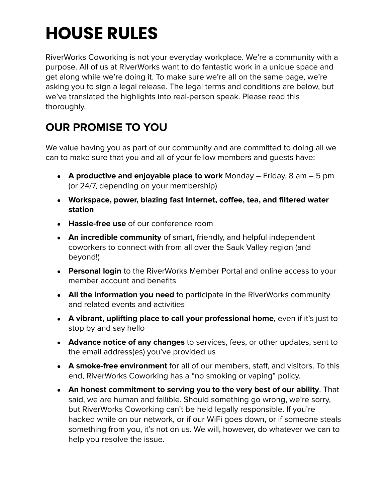# **HOUSE RULES**

RiverWorks Coworking is not your everyday workplace. We're a community with a purpose. All of us at RiverWorks want to do fantastic work in a unique space and get along while we're doing it. To make sure we're all on the same page, we're asking you to sign a legal release. The legal terms and conditions are below, but we've translated the highlights into real-person speak. Please read this thoroughly.

# **OUR PROMISE TO YOU**

We value having you as part of our community and are committed to doing all we can to make sure that you and all of your fellow members and guests have:

- **A productive and enjoyable place to work** Monday Friday, 8 am 5 pm (or 24/7, depending on your membership)
- **Workspace, power, blazing fast Internet, coffee, tea, and filtered water station**
- **Hassle-free use** of our conference room
- **An incredible community** of smart, friendly, and helpful independent coworkers to connect with from all over the Sauk Valley region (and beyond!)
- **Personal login** to the RiverWorks Member Portal and online access to your member account and benefits
- **All the information you need** to participate in the RiverWorks community and related events and activities
- **A vibrant, uplifting place to call your professional home**, even if it's just to stop by and say hello
- **Advance notice of any changes** to services, fees, or other updates, sent to the email address(es) you've provided us
- **A smoke-free environment** for all of our members, staff, and visitors. To this end, RiverWorks Coworking has a "no smoking or vaping" policy.
- **An honest commitment to serving you to the very best of our ability**. That said, we are human and fallible. Should something go wrong, we're sorry, but RiverWorks Coworking can't be held legally responsible. If you're hacked while on our network, or if our WiFi goes down, or if someone steals something from you, it's not on us. We will, however, do whatever we can to help you resolve the issue.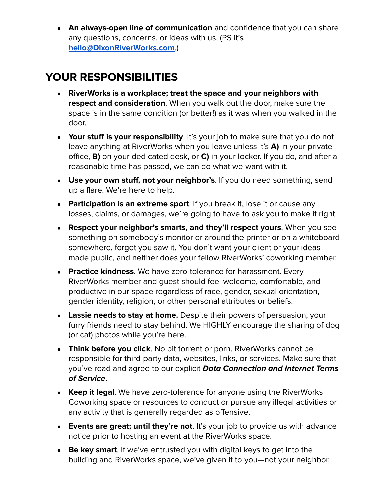● **An always-open line of communication** and confidence that you can share any questions, concerns, or ideas with us. (PS it's **[hello@DixonRiverWorks.com](mailto:hello@dixonriverworks.com)**.)

## **YOUR RESPONSIBILITIES**

- **RiverWorks is a workplace; treat the space and your neighbors with respect and consideration**. When you walk out the door, make sure the space is in the same condition (or better!) as it was when you walked in the door.
- **Your stuff is your responsibility**. It's your job to make sure that you do not leave anything at RiverWorks when you leave unless it's **A)** in your private office, **B)** on your dedicated desk, or **C)** in your locker. If you do, and after a reasonable time has passed, we can do what we want with it.
- **Use your own stuff, not your neighbor's**. If you do need something, send up a flare. We're here to help.
- **Participation is an extreme sport**. If you break it, lose it or cause any losses, claims, or damages, we're going to have to ask you to make it right.
- **Respect your neighbor's smarts, and they'll respect yours**. When you see something on somebody's monitor or around the printer or on a whiteboard somewhere, forget you saw it. You don't want your client or your ideas made public, and neither does your fellow RiverWorks' coworking member.
- **Practice kindness**. We have zero-tolerance for harassment. Every RiverWorks member and guest should feel welcome, comfortable, and productive in our space regardless of race, gender, sexual orientation, gender identity, religion, or other personal attributes or beliefs.
- **Lassie needs to stay at home.** Despite their powers of persuasion, your furry friends need to stay behind. We HIGHLY encourage the sharing of dog (or cat) photos while you're here.
- **Think before you click**. No bit torrent or porn. RiverWorks cannot be responsible for third-party data, websites, links, or services. Make sure that you've read and agree to our explicit **Data Connection and Internet Terms of Service**.
- **Keep it legal**. We have zero-tolerance for anyone using the RiverWorks Coworking space or resources to conduct or pursue any illegal activities or any activity that is generally regarded as offensive.
- **Events are great; until they're not**. It's your job to provide us with advance notice prior to hosting an event at the RiverWorks space.
- **Be key smart**. If we've entrusted you with digital keys to get into the building and RiverWorks space, we've given it to you—not your neighbor,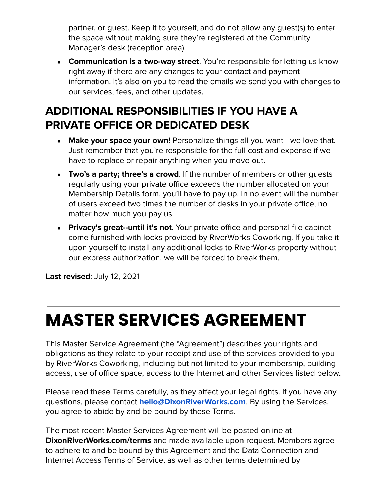partner, or guest. Keep it to yourself, and do not allow any guest(s) to enter the space without making sure they're registered at the Community Manager's desk (reception area).

● **Communication is a two-way street**. You're responsible for letting us know right away if there are any changes to your contact and payment information. It's also on you to read the emails we send you with changes to our services, fees, and other updates.

# **ADDITIONAL RESPONSIBILITIES IF YOU HAVE A PRIVATE OFFICE OR DEDICATED DESK**

- **Make your space your own!** Personalize things all you want—we love that. Just remember that you're responsible for the full cost and expense if we have to replace or repair anything when you move out.
- **Two's a party; three's a crowd**. If the number of members or other guests regularly using your private office exceeds the number allocated on your Membership Details form, you'll have to pay up. In no event will the number of users exceed two times the number of desks in your private office, no matter how much you pay us.
- **Privacy's great--until it's not**. Your private office and personal file cabinet come furnished with locks provided by RiverWorks Coworking. If you take it upon yourself to install any additional locks to RiverWorks property without our express authorization, we will be forced to break them.

**Last revised**: July 12, 2021

# **MASTER SERVICES AGREEMENT**

This Master Service Agreement (the "Agreement") describes your rights and obligations as they relate to your receipt and use of the services provided to you by RiverWorks Coworking, including but not limited to your membership, building access, use of office space, access to the Internet and other Services listed below.

Please read these Terms carefully, as they affect your legal rights. If you have any questions, please contact **[hello@DixonRiverWorks.com](mailto:hello@dixonriverworks.com)**. By using the Services, you agree to abide by and be bound by these Terms.

The most recent Master Services Agreement will be posted online at **[DixonRiverWorks.com/terms](http://www.dixonriverworks.com/terms)** and made available upon request. Members agree to adhere to and be bound by this Agreement and the Data Connection and Internet Access Terms of Service, as well as other terms determined by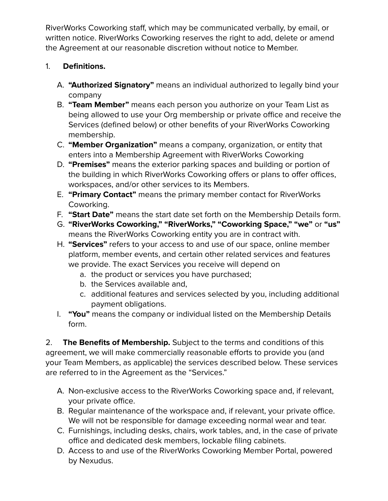RiverWorks Coworking staff, which may be communicated verbally, by email, or written notice. RiverWorks Coworking reserves the right to add, delete or amend the Agreement at our reasonable discretion without notice to Member.

## 1. **Definitions.**

- A. **"Authorized Signatory"** means an individual authorized to legally bind your company
- B. **"Team Member"** means each person you authorize on your Team List as being allowed to use your Org membership or private office and receive the Services (defined below) or other benefits of your RiverWorks Coworking membership.
- C. **"Member Organization"** means a company, organization, or entity that enters into a Membership Agreement with RiverWorks Coworking
- D. **"Premises"** means the exterior parking spaces and building or portion of the building in which RiverWorks Coworking offers or plans to offer offices, workspaces, and/or other services to its Members.
- E. **"Primary Contact"** means the primary member contact for RiverWorks Coworking.
- F. **"Start Date"** means the start date set forth on the Membership Details form.
- G. **"RiverWorks Coworking," "RiverWorks," "Coworking Space," "we"** or **"us"** means the RiverWorks Coworking entity you are in contract with.
- H. **"Services"** refers to your access to and use of our space, online member platform, member events, and certain other related services and features we provide. The exact Services you receive will depend on
	- a. the product or services you have purchased;
	- b. the Services available and,
	- c. additional features and services selected by you, including additional payment obligations.
- I. **"You"** means the company or individual listed on the Membership Details form.

2. **The Benefits of Membership.** Subject to the terms and conditions of this agreement, we will make commercially reasonable efforts to provide you (and your Team Members, as applicable) the services described below. These services are referred to in the Agreement as the "Services."

- A. Non-exclusive access to the RiverWorks Coworking space and, if relevant, your private office.
- B. Regular maintenance of the workspace and, if relevant, your private office. We will not be responsible for damage exceeding normal wear and tear.
- C. Furnishings, including desks, chairs, work tables, and, in the case of private office and dedicated desk members, lockable filing cabinets.
- D. Access to and use of the RiverWorks Coworking Member Portal, powered by Nexudus.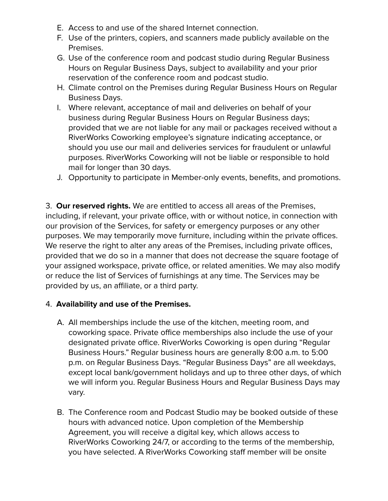- E. Access to and use of the shared Internet connection.
- F. Use of the printers, copiers, and scanners made publicly available on the Premises.
- G. Use of the conference room and podcast studio during Regular Business Hours on Regular Business Days, subject to availability and your prior reservation of the conference room and podcast studio.
- H. Climate control on the Premises during Regular Business Hours on Regular Business Days.
- I. Where relevant, acceptance of mail and deliveries on behalf of your business during Regular Business Hours on Regular Business days; provided that we are not liable for any mail or packages received without a RiverWorks Coworking employee's signature indicating acceptance, or should you use our mail and deliveries services for fraudulent or unlawful purposes. RiverWorks Coworking will not be liable or responsible to hold mail for longer than 30 days.
- J. Opportunity to participate in Member-only events, benefits, and promotions.

3. **Our reserved rights.** We are entitled to access all areas of the Premises, including, if relevant, your private office, with or without notice, in connection with our provision of the Services, for safety or emergency purposes or any other purposes. We may temporarily move furniture, including within the private offices. We reserve the right to alter any areas of the Premises, including private offices, provided that we do so in a manner that does not decrease the square footage of your assigned workspace, private office, or related amenities. We may also modify or reduce the list of Services of furnishings at any time. The Services may be provided by us, an affiliate, or a third party.

### 4. **Availability and use of the Premises.**

- A. All memberships include the use of the kitchen, meeting room, and coworking space. Private office memberships also include the use of your designated private office. RiverWorks Coworking is open during "Regular Business Hours." Regular business hours are generally 8:00 a.m. to 5:00 p.m. on Regular Business Days. "Regular Business Days" are all weekdays, except local bank/government holidays and up to three other days, of which we will inform you. Regular Business Hours and Regular Business Days may vary.
- B. The Conference room and Podcast Studio may be booked outside of these hours with advanced notice. Upon completion of the Membership Agreement, you will receive a digital key, which allows access to RiverWorks Coworking 24/7, or according to the terms of the membership, you have selected. A RiverWorks Coworking staff member will be onsite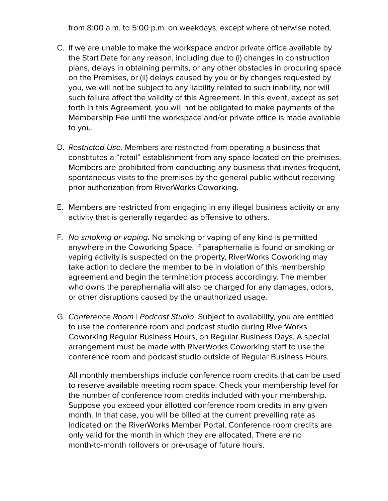from 8:00 a.m. to 5:00 p.m. on weekdays, except where otherwise noted.

- C. If we are unable to make the workspace and/or private office available by the Start Date for any reason, including due to (i) changes in construction plans, delays in obtaining permits, or any other obstacles in procuring space on the Premises, or (ii) delays caused by you or by changes requested by you, we will not be subject to any liability related to such inability, nor will such failure affect the validity of this Agreement. In this event, except as set forth in this Agreement, you will not be obligated to make payments of the Membership Fee until the workspace and/or private office is made available to you.
- D. Restricted Use. Members are restricted from operating a business that constitutes a "retail" establishment from any space located on the premises. Members are prohibited from conducting any business that invites frequent, spontaneous visits to the premises by the general public without receiving prior authorization from RiverWorks Coworking.
- E. Members are restricted from engaging in any illegal business activity or any activity that is generally regarded as offensive to others.
- F. No smoking or vaping**.** No smoking or vaping of any kind is permitted anywhere in the Coworking Space. If paraphernalia is found or smoking or vaping activity is suspected on the property, RiverWorks Coworking may take action to declare the member to be in violation of this membership agreement and begin the termination process accordingly. The member who owns the paraphernalia will also be charged for any damages, odors, or other disruptions caused by the unauthorized usage.
- G. Conference Room | Podcast Studio. Subject to availability, you are entitled to use the conference room and podcast studio during RiverWorks Coworking Regular Business Hours, on Regular Business Days. A special arrangement must be made with RiverWorks Coworking staff to use the conference room and podcast studio outside of Regular Business Hours.

All monthly memberships include conference room credits that can be used to reserve available meeting room space. Check your membership level for the number of conference room credits included with your membership. Suppose you exceed your allotted conference room credits in any given month. In that case, you will be billed at the current prevailing rate as indicated on the RiverWorks Member Portal. Conference room credits are only valid for the month in which they are allocated. There are no month-to-month rollovers or pre-usage of future hours.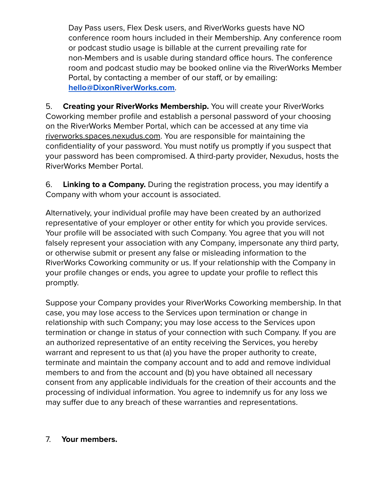Day Pass users, Flex Desk users, and RiverWorks guests have NO conference room hours included in their Membership. Any conference room or podcast studio usage is billable at the current prevailing rate for non-Members and is usable during standard office hours. The conference room and podcast studio may be booked online via the RiverWorks Member Portal, by contacting a member of our staff, or by emailing: **[hello@DixonRiverWorks.com](mailto:hello@dixonriverworks.com)**.

5. **Creating your RiverWorks Membership.** You will create your RiverWorks Coworking member profile and establish a personal password of your choosing on the RiverWorks Member Portal, which can be accessed at any time via [riverworks.spaces.nexudus.com](https://riverworks.spaces.nexudus.com/). You are responsible for maintaining the confidentiality of your password. You must notify us promptly if you suspect that your password has been compromised. A third-party provider, Nexudus, hosts the RiverWorks Member Portal.

6. **Linking to a Company.** During the registration process, you may identify a Company with whom your account is associated.

Alternatively, your individual profile may have been created by an authorized representative of your employer or other entity for which you provide services. Your profile will be associated with such Company. You agree that you will not falsely represent your association with any Company, impersonate any third party, or otherwise submit or present any false or misleading information to the RiverWorks Coworking community or us. If your relationship with the Company in your profile changes or ends, you agree to update your profile to reflect this promptly.

Suppose your Company provides your RiverWorks Coworking membership. In that case, you may lose access to the Services upon termination or change in relationship with such Company; you may lose access to the Services upon termination or change in status of your connection with such Company. If you are an authorized representative of an entity receiving the Services, you hereby warrant and represent to us that (a) you have the proper authority to create, terminate and maintain the company account and to add and remove individual members to and from the account and (b) you have obtained all necessary consent from any applicable individuals for the creation of their accounts and the processing of individual information. You agree to indemnify us for any loss we may suffer due to any breach of these warranties and representations.

## 7. **Your members.**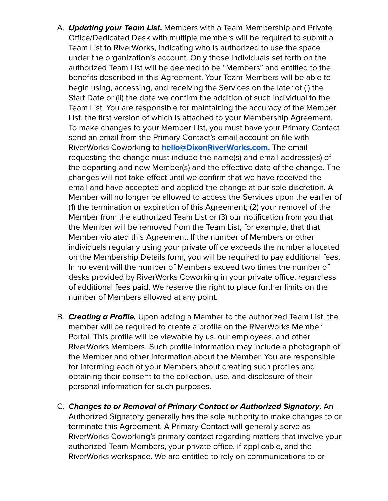- A. **Updating your Team List.** Members with a Team Membership and Private Office/Dedicated Desk with multiple members will be required to submit a Team List to RiverWorks, indicating who is authorized to use the space under the organization's account. Only those individuals set forth on the authorized Team List will be deemed to be "Members" and entitled to the benefits described in this Agreement. Your Team Members will be able to begin using, accessing, and receiving the Services on the later of (i) the Start Date or (ii) the date we confirm the addition of such individual to the Team List. You are responsible for maintaining the accuracy of the Member List, the first version of which is attached to your Membership Agreement. To make changes to your Member List, you must have your Primary Contact send an email from the Primary Contact's email account on file with RiverWorks Coworking to **[hello@DixonRiverWorks.com.](mailto:hello@dixonriverworks.com)** The email requesting the change must include the name(s) and email address(es) of the departing and new Member(s) and the effective date of the change. The changes will not take effect until we confirm that we have received the email and have accepted and applied the change at our sole discretion. A Member will no longer be allowed to access the Services upon the earlier of (1) the termination or expiration of this Agreement; (2) your removal of the Member from the authorized Team List or (3) our notification from you that the Member will be removed from the Team List, for example, that that Member violated this Agreement. If the number of Members or other individuals regularly using your private office exceeds the number allocated on the Membership Details form, you will be required to pay additional fees. In no event will the number of Members exceed two times the number of desks provided by RiverWorks Coworking in your private office, regardless of additional fees paid. We reserve the right to place further limits on the number of Members allowed at any point.
- B. **Creating a Profile.** Upon adding a Member to the authorized Team List, the member will be required to create a profile on the RiverWorks Member Portal. This profile will be viewable by us, our employees, and other RiverWorks Members. Such profile information may include a photograph of the Member and other information about the Member. You are responsible for informing each of your Members about creating such profiles and obtaining their consent to the collection, use, and disclosure of their personal information for such purposes.
- C. **Changes to or Removal of Primary Contact or Authorized Signatory.** An Authorized Signatory generally has the sole authority to make changes to or terminate this Agreement. A Primary Contact will generally serve as RiverWorks Coworking's primary contact regarding matters that involve your authorized Team Members, your private office, if applicable, and the RiverWorks workspace. We are entitled to rely on communications to or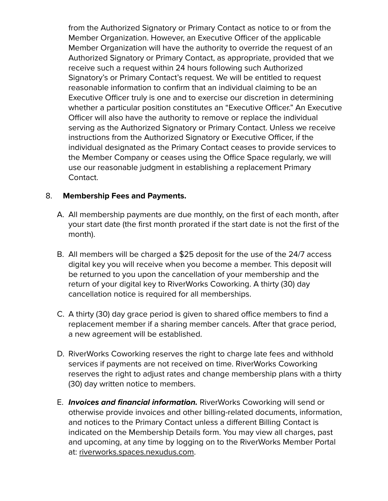from the Authorized Signatory or Primary Contact as notice to or from the Member Organization. However, an Executive Officer of the applicable Member Organization will have the authority to override the request of an Authorized Signatory or Primary Contact, as appropriate, provided that we receive such a request within 24 hours following such Authorized Signatory's or Primary Contact's request. We will be entitled to request reasonable information to confirm that an individual claiming to be an Executive Officer truly is one and to exercise our discretion in determining whether a particular position constitutes an "Executive Officer." An Executive Officer will also have the authority to remove or replace the individual serving as the Authorized Signatory or Primary Contact. Unless we receive instructions from the Authorized Signatory or Executive Officer, if the individual designated as the Primary Contact ceases to provide services to the Member Company or ceases using the Office Space regularly, we will use our reasonable judgment in establishing a replacement Primary Contact.

### 8. **Membership Fees and Payments.**

- A. All membership payments are due monthly, on the first of each month, after your start date (the first month prorated if the start date is not the first of the month).
- B. All members will be charged a \$25 deposit for the use of the 24/7 access digital key you will receive when you become a member. This deposit will be returned to you upon the cancellation of your membership and the return of your digital key to RiverWorks Coworking. A thirty (30) day cancellation notice is required for all memberships.
- C. A thirty (30) day grace period is given to shared office members to find a replacement member if a sharing member cancels. After that grace period, a new agreement will be established.
- D. RiverWorks Coworking reserves the right to charge late fees and withhold services if payments are not received on time. RiverWorks Coworking reserves the right to adjust rates and change membership plans with a thirty (30) day written notice to members.
- E. **Invoices and financial information.** RiverWorks Coworking will send or otherwise provide invoices and other billing-related documents, information, and notices to the Primary Contact unless a different Billing Contact is indicated on the Membership Details form. You may view all charges, past and upcoming, at any time by logging on to the RiverWorks Member Portal at: [riverworks.spaces.nexudus.com](https://riverworks.spaces.nexudus.com/).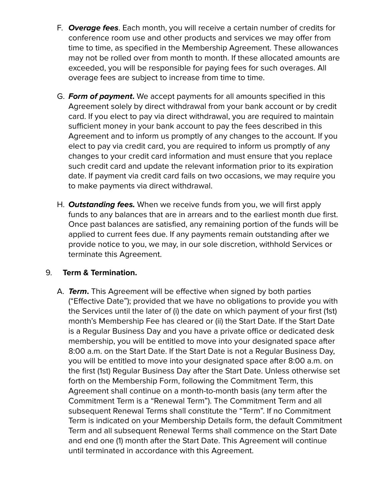- F. **Overage fees**. Each month, you will receive a certain number of credits for conference room use and other products and services we may offer from time to time, as specified in the Membership Agreement. These allowances may not be rolled over from month to month. If these allocated amounts are exceeded, you will be responsible for paying fees for such overages. All overage fees are subject to increase from time to time.
- G. **Form of payment.** We accept payments for all amounts specified in this Agreement solely by direct withdrawal from your bank account or by credit card. If you elect to pay via direct withdrawal, you are required to maintain sufficient money in your bank account to pay the fees described in this Agreement and to inform us promptly of any changes to the account. If you elect to pay via credit card, you are required to inform us promptly of any changes to your credit card information and must ensure that you replace such credit card and update the relevant information prior to its expiration date. If payment via credit card fails on two occasions, we may require you to make payments via direct withdrawal.
- H. **Outstanding fees.** When we receive funds from you, we will first apply funds to any balances that are in arrears and to the earliest month due first. Once past balances are satisfied, any remaining portion of the funds will be applied to current fees due. If any payments remain outstanding after we provide notice to you, we may, in our sole discretion, withhold Services or terminate this Agreement.

### 9. **Term & Termination.**

A. **Term.** This Agreement will be effective when signed by both parties ("Effective Date"); provided that we have no obligations to provide you with the Services until the later of (i) the date on which payment of your first (1st) month's Membership Fee has cleared or (ii) the Start Date. If the Start Date is a Regular Business Day and you have a private office or dedicated desk membership, you will be entitled to move into your designated space after 8:00 a.m. on the Start Date. If the Start Date is not a Regular Business Day, you will be entitled to move into your designated space after 8:00 a.m. on the first (1st) Regular Business Day after the Start Date. Unless otherwise set forth on the Membership Form, following the Commitment Term, this Agreement shall continue on a month-to-month basis (any term after the Commitment Term is a "Renewal Term"). The Commitment Term and all subsequent Renewal Terms shall constitute the "Term". If no Commitment Term is indicated on your Membership Details form, the default Commitment Term and all subsequent Renewal Terms shall commence on the Start Date and end one (1) month after the Start Date. This Agreement will continue until terminated in accordance with this Agreement.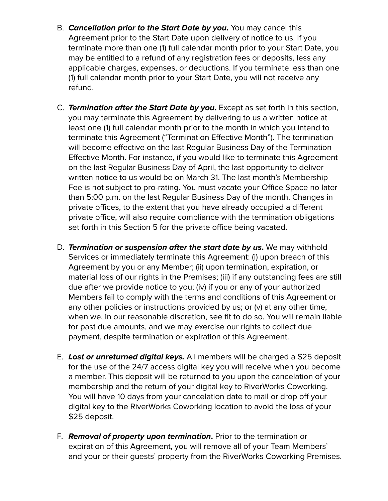- B. **Cancellation prior to the Start Date by you.** You may cancel this Agreement prior to the Start Date upon delivery of notice to us. If you terminate more than one (1) full calendar month prior to your Start Date, you may be entitled to a refund of any registration fees or deposits, less any applicable charges, expenses, or deductions. If you terminate less than one (1) full calendar month prior to your Start Date, you will not receive any refund.
- C. **Termination after the Start Date by you.** Except as set forth in this section, you may terminate this Agreement by delivering to us a written notice at least one (1) full calendar month prior to the month in which you intend to terminate this Agreement ("Termination Effective Month"). The termination will become effective on the last Regular Business Day of the Termination Effective Month. For instance, if you would like to terminate this Agreement on the last Regular Business Day of April, the last opportunity to deliver written notice to us would be on March 31. The last month's Membership Fee is not subject to pro-rating. You must vacate your Office Space no later than 5:00 p.m. on the last Regular Business Day of the month. Changes in private offices, to the extent that you have already occupied a different private office, will also require compliance with the termination obligations set forth in this Section 5 for the private office being vacated.
- D. **Termination or suspension after the start date by us.** We may withhold Services or immediately terminate this Agreement: (i) upon breach of this Agreement by you or any Member; (ii) upon termination, expiration, or material loss of our rights in the Premises; (iii) if any outstanding fees are still due after we provide notice to you; (iv) if you or any of your authorized Members fail to comply with the terms and conditions of this Agreement or any other policies or instructions provided by us; or (v) at any other time, when we, in our reasonable discretion, see fit to do so. You will remain liable for past due amounts, and we may exercise our rights to collect due payment, despite termination or expiration of this Agreement.
- E. **Lost or unreturned digital keys.** All members will be charged a \$25 deposit for the use of the 24/7 access digital key you will receive when you become a member. This deposit will be returned to you upon the cancelation of your membership and the return of your digital key to RiverWorks Coworking. You will have 10 days from your cancelation date to mail or drop off your digital key to the RiverWorks Coworking location to avoid the loss of your \$25 deposit.
- F. **Removal of property upon termination.** Prior to the termination or expiration of this Agreement, you will remove all of your Team Members' and your or their guests' property from the RiverWorks Coworking Premises.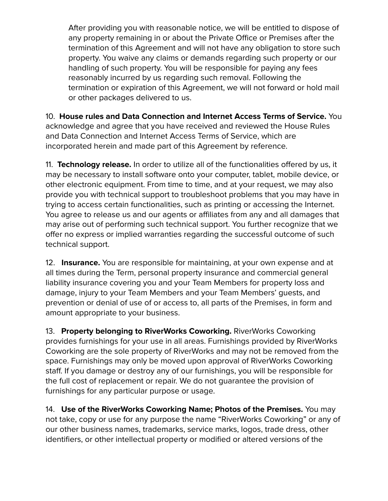After providing you with reasonable notice, we will be entitled to dispose of any property remaining in or about the Private Office or Premises after the termination of this Agreement and will not have any obligation to store such property. You waive any claims or demands regarding such property or our handling of such property. You will be responsible for paying any fees reasonably incurred by us regarding such removal. Following the termination or expiration of this Agreement, we will not forward or hold mail or other packages delivered to us.

10. **House rules and Data Connection and Internet Access Terms of Service.** You acknowledge and agree that you have received and reviewed the House Rules and Data Connection and Internet Access Terms of Service, which are incorporated herein and made part of this Agreement by reference.

11. **Technology release.** In order to utilize all of the functionalities offered by us, it may be necessary to install software onto your computer, tablet, mobile device, or other electronic equipment. From time to time, and at your request, we may also provide you with technical support to troubleshoot problems that you may have in trying to access certain functionalities, such as printing or accessing the Internet. You agree to release us and our agents or affiliates from any and all damages that may arise out of performing such technical support. You further recognize that we offer no express or implied warranties regarding the successful outcome of such technical support.

12. **Insurance.** You are responsible for maintaining, at your own expense and at all times during the Term, personal property insurance and commercial general liability insurance covering you and your Team Members for property loss and damage, injury to your Team Members and your Team Members' guests, and prevention or denial of use of or access to, all parts of the Premises, in form and amount appropriate to your business.

13. **Property belonging to RiverWorks Coworking.** RiverWorks Coworking provides furnishings for your use in all areas. Furnishings provided by RiverWorks Coworking are the sole property of RiverWorks and may not be removed from the space. Furnishings may only be moved upon approval of RiverWorks Coworking staff. If you damage or destroy any of our furnishings, you will be responsible for the full cost of replacement or repair. We do not guarantee the provision of furnishings for any particular purpose or usage.

14. **Use of the RiverWorks Coworking Name; Photos of the Premises.** You may not take, copy or use for any purpose the name "RiverWorks Coworking" or any of our other business names, trademarks, service marks, logos, trade dress, other identifiers, or other intellectual property or modified or altered versions of the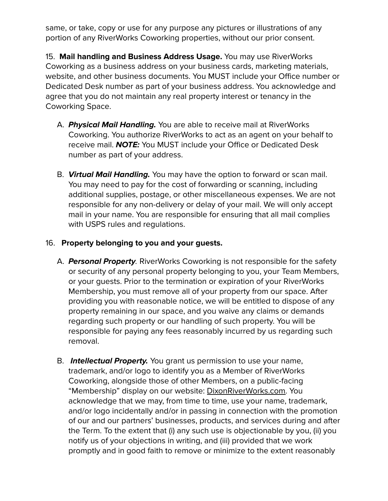same, or take, copy or use for any purpose any pictures or illustrations of any portion of any RiverWorks Coworking properties, without our prior consent.

15. **Mail handling and Business Address Usage.** You may use RiverWorks Coworking as a business address on your business cards, marketing materials, website, and other business documents. You MUST include your Office number or Dedicated Desk number as part of your business address. You acknowledge and agree that you do not maintain any real property interest or tenancy in the Coworking Space.

- A. **Physical Mail Handling.** You are able to receive mail at RiverWorks Coworking. You authorize RiverWorks to act as an agent on your behalf to receive mail. **NOTE:** You MUST include your Office or Dedicated Desk number as part of your address.
- B. **Virtual Mail Handling.** You may have the option to forward or scan mail. You may need to pay for the cost of forwarding or scanning, including additional supplies, postage, or other miscellaneous expenses. We are not responsible for any non-delivery or delay of your mail. We will only accept mail in your name. You are responsible for ensuring that all mail complies with USPS rules and regulations.

### 16. **Property belonging to you and your guests.**

- A. **Personal Property**. RiverWorks Coworking is not responsible for the safety or security of any personal property belonging to you, your Team Members, or your guests. Prior to the termination or expiration of your RiverWorks Membership, you must remove all of your property from our space. After providing you with reasonable notice, we will be entitled to dispose of any property remaining in our space, and you waive any claims or demands regarding such property or our handling of such property. You will be responsible for paying any fees reasonably incurred by us regarding such removal.
- B. **Intellectual Property.** You grant us permission to use your name, trademark, and/or logo to identify you as a Member of RiverWorks Coworking, alongside those of other Members, on a public-facing "Membership" display on our website: [DixonRiverWorks.com.](http://www.dixonriverworks.com) You acknowledge that we may, from time to time, use your name, trademark, and/or logo incidentally and/or in passing in connection with the promotion of our and our partners' businesses, products, and services during and after the Term. To the extent that (i) any such use is objectionable by you, (ii) you notify us of your objections in writing, and (iii) provided that we work promptly and in good faith to remove or minimize to the extent reasonably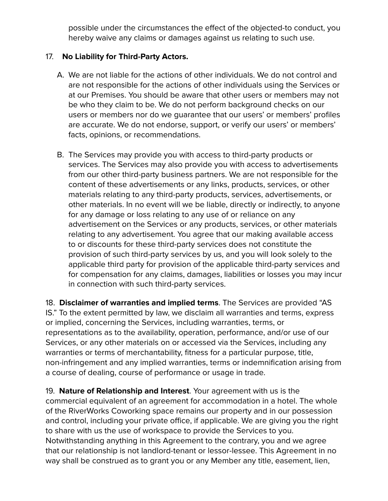possible under the circumstances the effect of the objected-to conduct, you hereby waive any claims or damages against us relating to such use.

### 17. **No Liability for Third-Party Actors.**

- A. We are not liable for the actions of other individuals. We do not control and are not responsible for the actions of other individuals using the Services or at our Premises. You should be aware that other users or members may not be who they claim to be. We do not perform background checks on our users or members nor do we guarantee that our users' or members' profiles are accurate. We do not endorse, support, or verify our users' or members' facts, opinions, or recommendations.
- B. The Services may provide you with access to third-party products or services. The Services may also provide you with access to advertisements from our other third-party business partners. We are not responsible for the content of these advertisements or any links, products, services, or other materials relating to any third-party products, services, advertisements, or other materials. In no event will we be liable, directly or indirectly, to anyone for any damage or loss relating to any use of or reliance on any advertisement on the Services or any products, services, or other materials relating to any advertisement. You agree that our making available access to or discounts for these third-party services does not constitute the provision of such third-party services by us, and you will look solely to the applicable third party for provision of the applicable third-party services and for compensation for any claims, damages, liabilities or losses you may incur in connection with such third-party services.

18. **Disclaimer of warranties and implied terms**. The Services are provided "AS IS." To the extent permitted by law, we disclaim all warranties and terms, express or implied, concerning the Services, including warranties, terms, or representations as to the availability, operation, performance, and/or use of our Services, or any other materials on or accessed via the Services, including any warranties or terms of merchantability, fitness for a particular purpose, title, non-infringement and any implied warranties, terms or indemnification arising from a course of dealing, course of performance or usage in trade.

19. **Nature of Relationship and Interest**. Your agreement with us is the commercial equivalent of an agreement for accommodation in a hotel. The whole of the RiverWorks Coworking space remains our property and in our possession and control, including your private office, if applicable. We are giving you the right to share with us the use of workspace to provide the Services to you. Notwithstanding anything in this Agreement to the contrary, you and we agree that our relationship is not landlord-tenant or lessor-lessee. This Agreement in no way shall be construed as to grant you or any Member any title, easement, lien,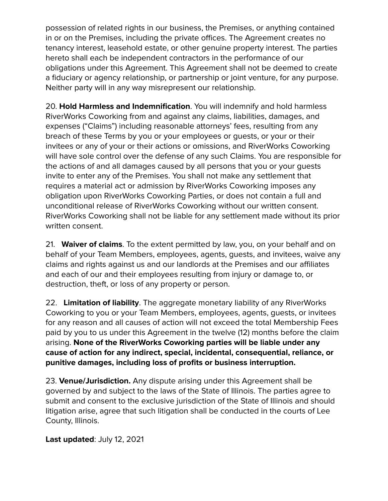possession of related rights in our business, the Premises, or anything contained in or on the Premises, including the private offices. The Agreement creates no tenancy interest, leasehold estate, or other genuine property interest. The parties hereto shall each be independent contractors in the performance of our obligations under this Agreement. This Agreement shall not be deemed to create a fiduciary or agency relationship, or partnership or joint venture, for any purpose. Neither party will in any way misrepresent our relationship.

20. **Hold Harmless and Indemnification**. You will indemnify and hold harmless RiverWorks Coworking from and against any claims, liabilities, damages, and expenses ("Claims") including reasonable attorneys' fees, resulting from any breach of these Terms by you or your employees or guests, or your or their invitees or any of your or their actions or omissions, and RiverWorks Coworking will have sole control over the defense of any such Claims. You are responsible for the actions of and all damages caused by all persons that you or your guests invite to enter any of the Premises. You shall not make any settlement that requires a material act or admission by RiverWorks Coworking imposes any obligation upon RiverWorks Coworking Parties, or does not contain a full and unconditional release of RiverWorks Coworking without our written consent. RiverWorks Coworking shall not be liable for any settlement made without its prior written consent.

21. **Waiver of claims**. To the extent permitted by law, you, on your behalf and on behalf of your Team Members, employees, agents, guests, and invitees, waive any claims and rights against us and our landlords at the Premises and our affiliates and each of our and their employees resulting from injury or damage to, or destruction, theft, or loss of any property or person.

22. **Limitation of liability**. The aggregate monetary liability of any RiverWorks Coworking to you or your Team Members, employees, agents, guests, or invitees for any reason and all causes of action will not exceed the total Membership Fees paid by you to us under this Agreement in the twelve (12) months before the claim arising. **None of the RiverWorks Coworking parties will be liable under any cause of action for any indirect, special, incidental, consequential, reliance, or punitive damages, including loss of profits or business interruption.**

23. **Venue/Jurisdiction.** Any dispute arising under this Agreement shall be governed by and subject to the laws of the State of Illinois. The parties agree to submit and consent to the exclusive jurisdiction of the State of Illinois and should litigation arise, agree that such litigation shall be conducted in the courts of Lee County, Illinois.

**Last updated**: July 12, 2021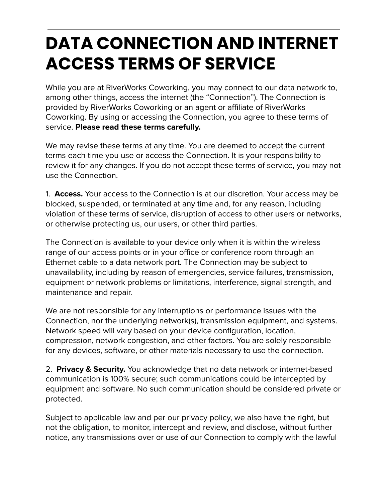# **DATA CONNECTION AND INTERNET ACCESS TERMS OF SERVICE**

While you are at RiverWorks Coworking, you may connect to our data network to, among other things, access the internet (the "Connection"). The Connection is provided by RiverWorks Coworking or an agent or affiliate of RiverWorks Coworking. By using or accessing the Connection, you agree to these terms of service. **Please read these terms carefully.**

We may revise these terms at any time. You are deemed to accept the current terms each time you use or access the Connection. It is your responsibility to review it for any changes. If you do not accept these terms of service, you may not use the Connection.

1. **Access.** Your access to the Connection is at our discretion. Your access may be blocked, suspended, or terminated at any time and, for any reason, including violation of these terms of service, disruption of access to other users or networks, or otherwise protecting us, our users, or other third parties.

The Connection is available to your device only when it is within the wireless range of our access points or in your office or conference room through an Ethernet cable to a data network port. The Connection may be subject to unavailability, including by reason of emergencies, service failures, transmission, equipment or network problems or limitations, interference, signal strength, and maintenance and repair.

We are not responsible for any interruptions or performance issues with the Connection, nor the underlying network(s), transmission equipment, and systems. Network speed will vary based on your device configuration, location, compression, network congestion, and other factors. You are solely responsible for any devices, software, or other materials necessary to use the connection.

2. **Privacy & Security.** You acknowledge that no data network or internet-based communication is 100% secure; such communications could be intercepted by equipment and software. No such communication should be considered private or protected.

Subject to applicable law and per our privacy policy, we also have the right, but not the obligation, to monitor, intercept and review, and disclose, without further notice, any transmissions over or use of our Connection to comply with the lawful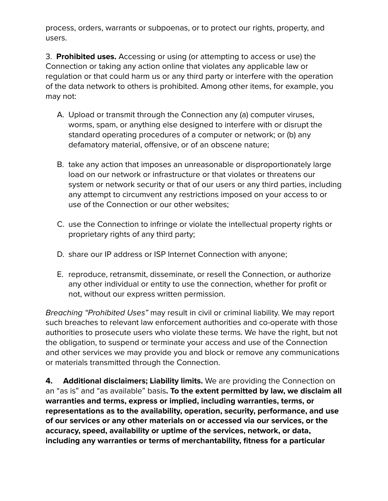process, orders, warrants or subpoenas, or to protect our rights, property, and users.

3. **Prohibited uses.** Accessing or using (or attempting to access or use) the Connection or taking any action online that violates any applicable law or regulation or that could harm us or any third party or interfere with the operation of the data network to others is prohibited. Among other items, for example, you may not:

- A. Upload or transmit through the Connection any (a) computer viruses, worms, spam, or anything else designed to interfere with or disrupt the standard operating procedures of a computer or network; or (b) any defamatory material, offensive, or of an obscene nature;
- B. take any action that imposes an unreasonable or disproportionately large load on our network or infrastructure or that violates or threatens our system or network security or that of our users or any third parties, including any attempt to circumvent any restrictions imposed on your access to or use of the Connection or our other websites;
- C. use the Connection to infringe or violate the intellectual property rights or proprietary rights of any third party;
- D. share our IP address or ISP Internet Connection with anyone;
- E. reproduce, retransmit, disseminate, or resell the Connection, or authorize any other individual or entity to use the connection, whether for profit or not, without our express written permission.

Breaching "Prohibited Uses" may result in civil or criminal liability. We may report such breaches to relevant law enforcement authorities and co-operate with those authorities to prosecute users who violate these terms. We have the right, but not the obligation, to suspend or terminate your access and use of the Connection and other services we may provide you and block or remove any communications or materials transmitted through the Connection.

**4. Additional disclaimers; Liability limits.** We are providing the Connection on an "as is" and "as available" basis**. To the extent permitted by law, we disclaim all warranties and terms, express or implied, including warranties, terms, or representations as to the availability, operation, security, performance, and use of our services or any other materials on or accessed via our services, or the accuracy, speed, availability or uptime of the services, network, or data, including any warranties or terms of merchantability, fitness for a particular**